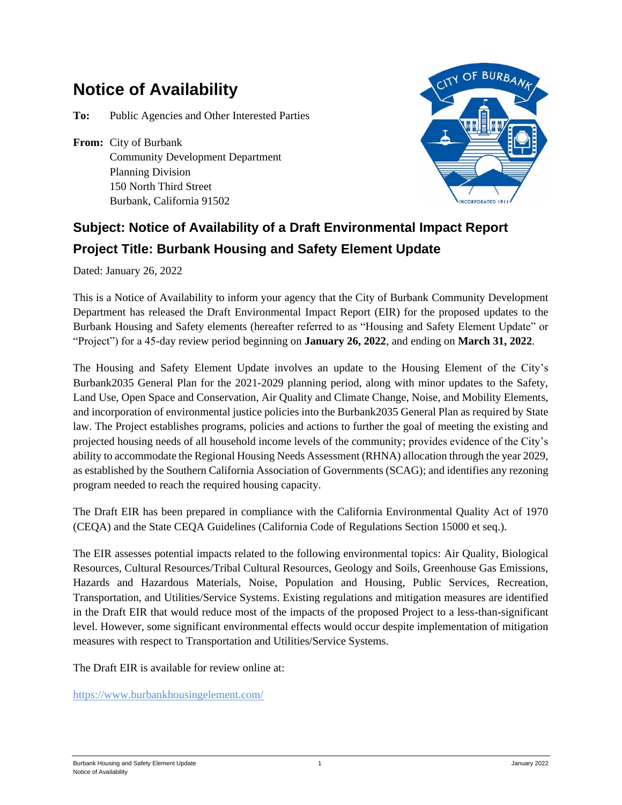## **Notice of Availability**

**To:** Public Agencies and Other Interested Parties

**From:** City of Burbank Community Development Department Planning Division 150 North Third Street Burbank, California 91502



## **Subject: Notice of Availability of a Draft Environmental Impact Report Project Title: Burbank Housing and Safety Element Update**

Dated: January 26, 2022

This is a Notice of Availability to inform your agency that the City of Burbank Community Development Department has released the Draft Environmental Impact Report (EIR) for the proposed updates to the Burbank Housing and Safety elements (hereafter referred to as "Housing and Safety Element Update" or "Project") for a 45-day review period beginning on **January 26, 2022**, and ending on **March 31, 2022**.

The Housing and Safety Element Update involves an update to the Housing Element of the City's Burbank2035 General Plan for the 2021-2029 planning period, along with minor updates to the Safety, Land Use, Open Space and Conservation, Air Quality and Climate Change, Noise, and Mobility Elements, and incorporation of environmental justice policies into the Burbank2035 General Plan as required by State law. The Project establishes programs, policies and actions to further the goal of meeting the existing and projected housing needs of all household income levels of the community; provides evidence of the City's ability to accommodate the Regional Housing Needs Assessment (RHNA) allocation through the year 2029, as established by the Southern California Association of Governments (SCAG); and identifies any rezoning program needed to reach the required housing capacity.

The Draft EIR has been prepared in compliance with the California Environmental Quality Act of 1970 (CEQA) and the State CEQA Guidelines (California Code of Regulations Section 15000 et seq.).

The EIR assesses potential impacts related to the following environmental topics: Air Quality, Biological Resources, Cultural Resources/Tribal Cultural Resources, Geology and Soils, Greenhouse Gas Emissions, Hazards and Hazardous Materials, Noise, Population and Housing, Public Services, Recreation, Transportation, and Utilities/Service Systems. Existing regulations and mitigation measures are identified in the Draft EIR that would reduce most of the impacts of the proposed Project to a less-than-significant level. However, some significant environmental effects would occur despite implementation of mitigation measures with respect to Transportation and Utilities/Service Systems.

The Draft EIR is available for review online at:

https://www.burbankhousingelement.com/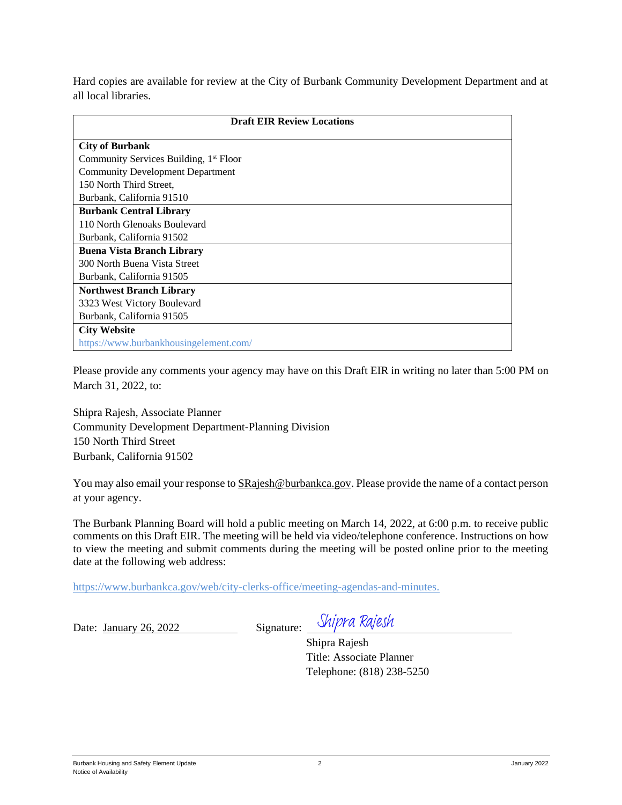Hard copies are available for review at the City of Burbank Community Development Department and at all local libraries.

| <b>Draft EIR Review Locations</b>                  |
|----------------------------------------------------|
| <b>City of Burbank</b>                             |
| Community Services Building, 1 <sup>st</sup> Floor |
| <b>Community Development Department</b>            |
| 150 North Third Street,                            |
| Burbank, California 91510                          |
| <b>Burbank Central Library</b>                     |
| 110 North Glenoaks Boulevard                       |
| Burbank, California 91502                          |
| <b>Buena Vista Branch Library</b>                  |
| 300 North Buena Vista Street                       |
| Burbank, California 91505                          |
| <b>Northwest Branch Library</b>                    |
| 3323 West Victory Boulevard                        |
| Burbank, California 91505                          |
| <b>City Website</b>                                |
| https://www.burbankhousingelement.com/             |

Please provide any comments your agency may have on this Draft EIR in writing no later than 5:00 PM on March 31, 2022, to:

Shipra Rajesh, Associate Planner Community Development Department-Planning Division 150 North Third Street Burbank, California 91502

You may also email your response to  $SRajesh@burbankca.gov$ . Please provide the name of a contact person at your agency.

The Burbank Planning Board will hold a public meeting on March 14, 2022, at 6:00 p.m. to receive public comments on this Draft EIR. The meeting will be held via video/telephone conference. Instructions on how to view the meeting and submit comments during the meeting will be posted online prior to the meeting date at the following web address:

https://www.burbankca.gov/web/city-clerks-office/meeting-agendas-and-minutes.

Date: January 26, 2022 Signature: Shipra Rajesh

Shipra Rajesh Title: Associate Planner Telephone: (818) 238-5250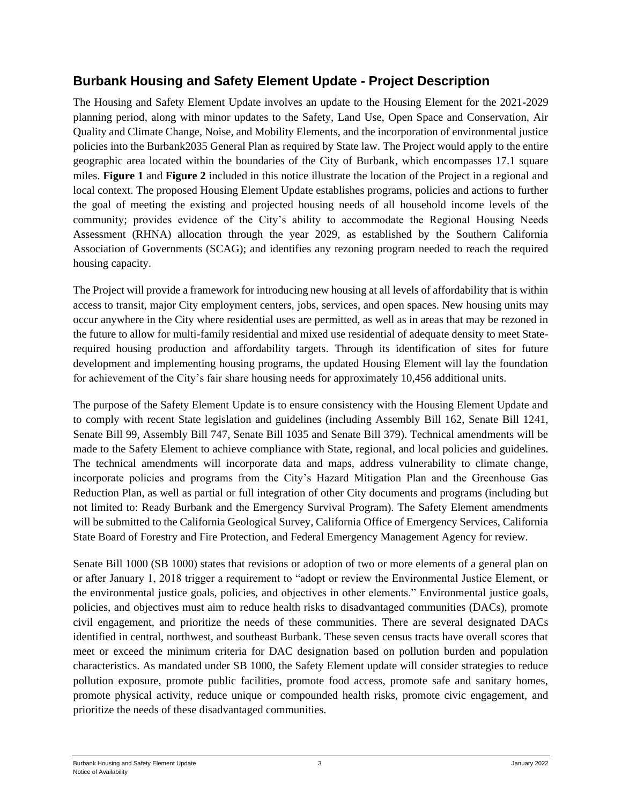## **Burbank Housing and Safety Element Update - Project Description**

The Housing and Safety Element Update involves an update to the Housing Element for the 2021-2029 planning period, along with minor updates to the Safety, Land Use, Open Space and Conservation, Air Quality and Climate Change, Noise, and Mobility Elements, and the incorporation of environmental justice policies into the Burbank2035 General Plan as required by State law. The Project would apply to the entire geographic area located within the boundaries of the City of Burbank, which encompasses 17.1 square miles. **Figure 1** and **Figure 2** included in this notice illustrate the location of the Project in a regional and local context. The proposed Housing Element Update establishes programs, policies and actions to further the goal of meeting the existing and projected housing needs of all household income levels of the community; provides evidence of the City's ability to accommodate the Regional Housing Needs Assessment (RHNA) allocation through the year 2029, as established by the Southern California Association of Governments (SCAG); and identifies any rezoning program needed to reach the required housing capacity.

The Project will provide a framework for introducing new housing at all levels of affordability that is within access to transit, major City employment centers, jobs, services, and open spaces. New housing units may occur anywhere in the City where residential uses are permitted, as well as in areas that may be rezoned in the future to allow for multi-family residential and mixed use residential of adequate density to meet Staterequired housing production and affordability targets. Through its identification of sites for future development and implementing housing programs, the updated Housing Element will lay the foundation for achievement of the City's fair share housing needs for approximately 10,456 additional units.

The purpose of the Safety Element Update is to ensure consistency with the Housing Element Update and to comply with recent State legislation and guidelines (including Assembly Bill 162, Senate Bill 1241, Senate Bill 99, Assembly Bill 747, Senate Bill 1035 and Senate Bill 379). Technical amendments will be made to the Safety Element to achieve compliance with State, regional, and local policies and guidelines. The technical amendments will incorporate data and maps, address vulnerability to climate change, incorporate policies and programs from the City's Hazard Mitigation Plan and the Greenhouse Gas Reduction Plan, as well as partial or full integration of other City documents and programs (including but not limited to: Ready Burbank and the Emergency Survival Program). The Safety Element amendments will be submitted to the California Geological Survey, California Office of Emergency Services, California State Board of Forestry and Fire Protection, and Federal Emergency Management Agency for review.

Senate Bill 1000 (SB 1000) states that revisions or adoption of two or more elements of a general plan on or after January 1, 2018 trigger a requirement to "adopt or review the Environmental Justice Element, or the environmental justice goals, policies, and objectives in other elements." Environmental justice goals, policies, and objectives must aim to reduce health risks to disadvantaged communities (DACs), promote civil engagement, and prioritize the needs of these communities. There are several designated DACs identified in central, northwest, and southeast Burbank. These seven census tracts have overall scores that meet or exceed the minimum criteria for DAC designation based on pollution burden and population characteristics. As mandated under SB 1000, the Safety Element update will consider strategies to reduce pollution exposure, promote public facilities, promote food access, promote safe and sanitary homes, promote physical activity, reduce unique or compounded health risks, promote civic engagement, and prioritize the needs of these disadvantaged communities.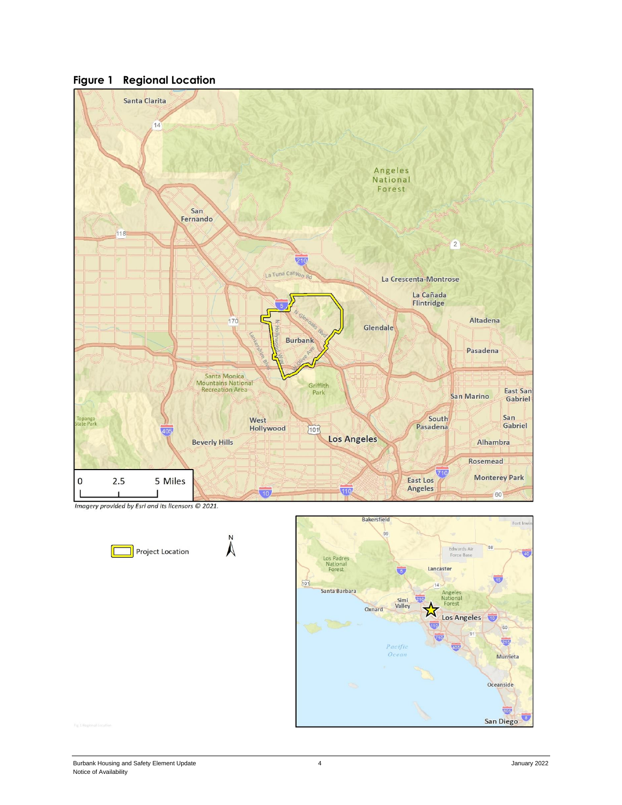

**Figure 1 Regional Location**

Imagery provided by Esri and its licensors © 2021.



 $\sum_{z}$